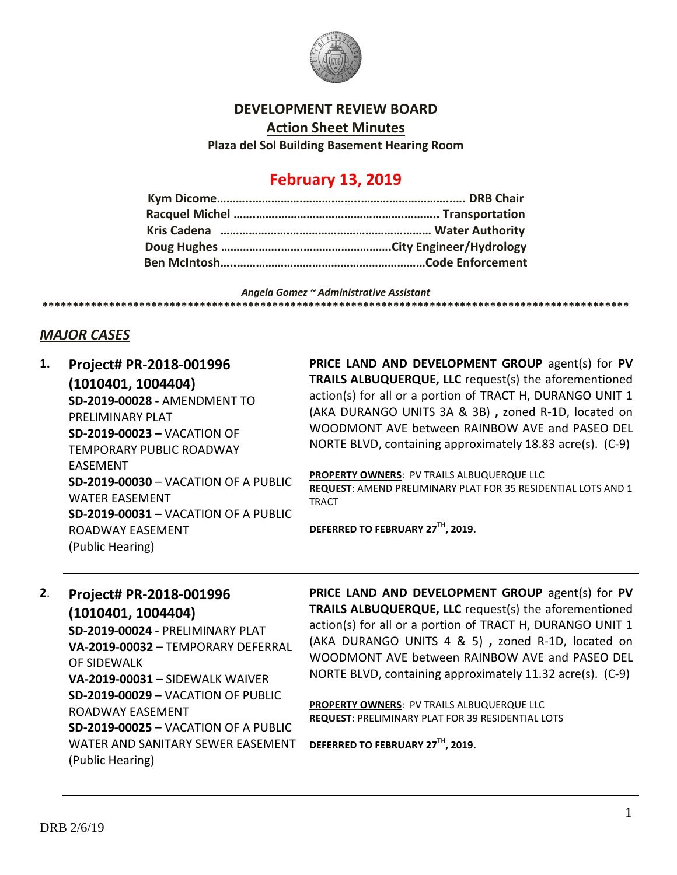

## **DEVELOPMENT REVIEW BOARD**

**Action Sheet Minutes**

**Plaza del Sol Building Basement Hearing Room**

# **February 13, 2019**

*Angela Gomez ~ Administrative Assistant* **\*\*\*\*\*\*\*\*\*\*\*\*\*\*\*\*\*\*\*\*\*\*\*\*\*\*\*\*\*\*\*\*\*\*\*\*\*\*\*\*\*\*\*\*\*\*\*\*\*\*\*\*\*\*\*\*\*\*\*\*\*\*\*\*\*\*\*\*\*\*\*\*\*\*\*\*\*\*\*\*\*\*\*\*\*\*\*\*\*\*\*\*\*\*\*\*\***

## *MAJOR CASES*

**1. Project# PR-2018-001996 (1010401, 1004404) SD-2019-00028 -** AMENDMENT TO PRELIMINARY PLAT **SD-2019-00023 –** VACATION OF TEMPORARY PUBLIC ROADWAY EASEMENT **SD-2019-00030** – VACATION OF A PUBLIC WATER EASEMENT **SD-2019-00031** – VACATION OF A PUBLIC ROADWAY EASEMENT (Public Hearing)

**PRICE LAND AND DEVELOPMENT GROUP** agent(s) for **PV TRAILS ALBUQUERQUE, LLC** request(s) the aforementioned action(s) for all or a portion of TRACT H, DURANGO UNIT 1 (AKA DURANGO UNITS 3A & 3B) **,** zoned R-1D, located on WOODMONT AVE between RAINBOW AVE and PASEO DEL NORTE BLVD, containing approximately 18.83 acre(s). (C-9)

**PROPERTY OWNERS**: PV TRAILS ALBUQUERQUE LLC **REQUEST**: AMEND PRELIMINARY PLAT FOR 35 RESIDENTIAL LOTS AND 1 **TRACT** 

**DEFERRED TO FEBRUARY 27TH, 2019.**

# **2**. **Project# PR-2018-001996**

**(1010401, 1004404)**

**SD-2019-00024 -** PRELIMINARY PLAT **VA-2019-00032 –** TEMPORARY DEFERRAL OF SIDEWALK **VA-2019-00031** – SIDEWALK WAIVER **SD-2019-00029** – VACATION OF PUBLIC ROADWAY EASEMENT **SD-2019-00025** – VACATION OF A PUBLIC WATER AND SANITARY SEWER EASEMENT (Public Hearing)

**PRICE LAND AND DEVELOPMENT GROUP** agent(s) for **PV TRAILS ALBUQUERQUE, LLC** request(s) the aforementioned action(s) for all or a portion of TRACT H, DURANGO UNIT 1 (AKA DURANGO UNITS 4 & 5) **,** zoned R-1D, located on WOODMONT AVE between RAINBOW AVE and PASEO DEL NORTE BLVD, containing approximately 11.32 acre(s). (C-9)

**PROPERTY OWNERS**: PV TRAILS ALBUQUERQUE LLC **REQUEST**: PRELIMINARY PLAT FOR 39 RESIDENTIAL LOTS

**DEFERRED TO FEBRUARY 27TH, 2019.**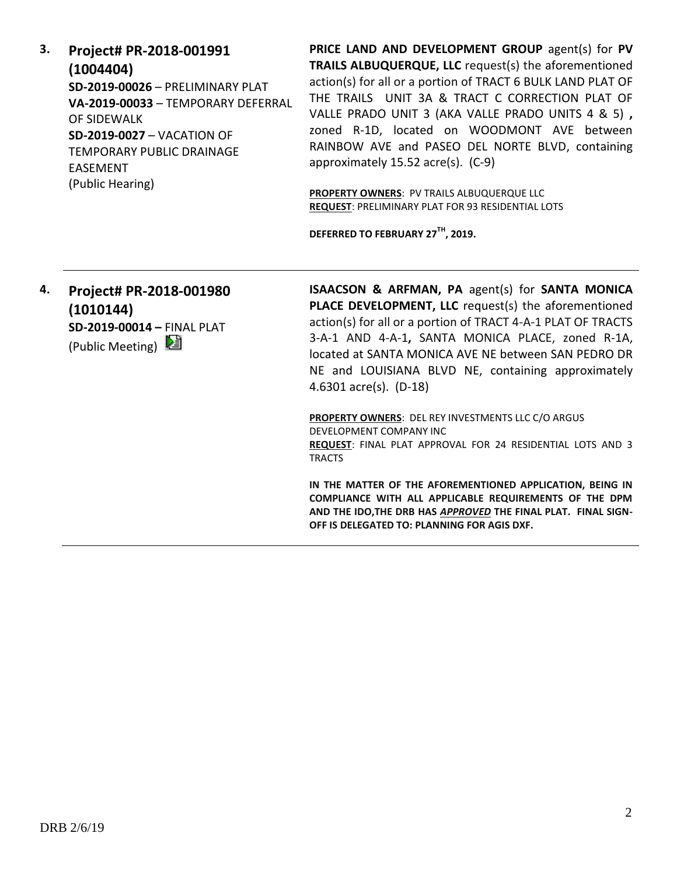**3. Project# PR-2018-001991 (1004404) SD-2019-00026** – PRELIMINARY PLAT **VA-2019-00033** – TEMPORARY DEFERRAL OF SIDEWALK **SD-2019-0027** – VACATION OF TEMPORARY PUBLIC DRAINAGE EASEMENT (Public Hearing)

**PRICE LAND AND DEVELOPMENT GROUP** agent(s) for **PV TRAILS ALBUQUERQUE, LLC** request(s) the aforementioned action(s) for all or a portion of TRACT 6 BULK LAND PLAT OF THE TRAILS UNIT 3A & TRACT C CORRECTION PLAT OF VALLE PRADO UNIT 3 (AKA VALLE PRADO UNITS 4 & 5) **,**  zoned R-1D, located on WOODMONT AVE between RAINBOW AVE and PASEO DEL NORTE BLVD, containing approximately 15.52 acre(s). (C-9)

**PROPERTY OWNERS**: PV TRAILS ALBUQUERQUE LLC **REQUEST**: PRELIMINARY PLAT FOR 93 RESIDENTIAL LOTS

**DEFERRED TO FEBRUARY 27TH, 2019.**

**4. Project# PR-2018-001980 (1010144) SD-2019-00014 –** FINAL PLAT (Public Meeting)  $\Box$ 

**ISAACSON & ARFMAN, PA** agent(s) for **SANTA MONICA PLACE DEVELOPMENT, LLC** request(s) the aforementioned action(s) for all or a portion of TRACT 4-A-1 PLAT OF TRACTS 3-A-1 AND 4-A-1**,** SANTA MONICA PLACE, zoned R-1A, located at SANTA MONICA AVE NE between SAN PEDRO DR NE and LOUISIANA BLVD NE, containing approximately 4.6301 acre(s). (D-18)

**PROPERTY OWNERS**: DEL REY INVESTMENTS LLC C/O ARGUS DEVELOPMENT COMPANY INC **REQUEST**: FINAL PLAT APPROVAL FOR 24 RESIDENTIAL LOTS AND 3 TRACTS

**IN THE MATTER OF THE AFOREMENTIONED APPLICATION, BEING IN COMPLIANCE WITH ALL APPLICABLE REQUIREMENTS OF THE DPM AND THE IDO,THE DRB HAS** *APPROVED* **THE FINAL PLAT. FINAL SIGN-OFF IS DELEGATED TO: PLANNING FOR AGIS DXF.**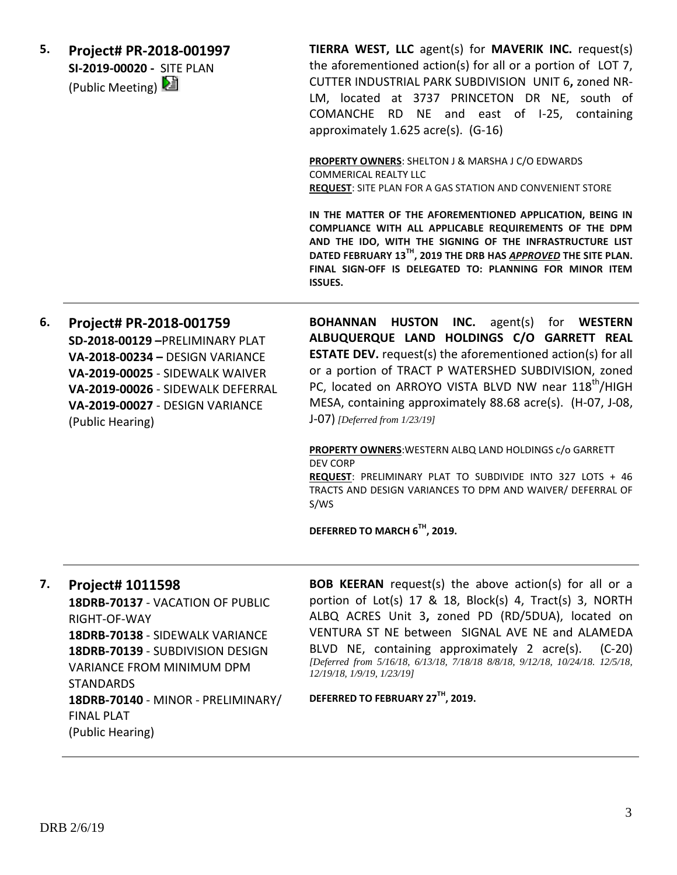| 5. | Project# PR-2018-001997<br>SI-2019-00020 - SITE PLAN<br>(Public Meeting) | TIERRA WEST, LLC agent(s) for MAVERIK INC. request(s)<br>the aforementioned action(s) for all or a portion of LOT 7,<br>CUTTER INDUSTRIAL PARK SUBDIVISION UNIT 6, zoned NR-<br>LM, located at 3737 PRINCETON DR NE, south of<br>COMANCHE RD NE and east of I-25, containing<br>approximately 1.625 acre(s). (G-16) |
|----|--------------------------------------------------------------------------|---------------------------------------------------------------------------------------------------------------------------------------------------------------------------------------------------------------------------------------------------------------------------------------------------------------------|
|    |                                                                          | <b>PROPERTY OWNERS: SHELTON J &amp; MARSHA J C/O EDWARDS</b><br><b>COMMERICAL REALTY LLC</b><br><b>REQUEST: SITE PLAN FOR A GAS STATION AND CONVENIENT STORE</b>                                                                                                                                                    |

**IN THE MATTER OF THE AFOREMENTIONED APPLICATION, BEING IN COMPLIANCE WITH ALL APPLICABLE REQUIREMENTS OF THE DPM AND THE IDO, WITH THE SIGNING OF THE INFRASTRUCTURE LIST DATED FEBRUARY 13TH, 2019 THE DRB HAS** *APPROVED* **THE SITE PLAN. FINAL SIGN-OFF IS DELEGATED TO: PLANNING FOR MINOR ITEM ISSUES.**

**6. Project# PR-2018-001759 SD-2018-00129 –**PRELIMINARY PLAT **VA-2018-00234 –** DESIGN VARIANCE **VA-2019-00025** - SIDEWALK WAIVER **VA-2019-00026** - SIDEWALK DEFERRAL **VA-2019-00027** - DESIGN VARIANCE (Public Hearing) J-07) *[Deferred from 1/23/19]*

**BOHANNAN HUSTON INC.** agent(s) for **WESTERN ALBUQUERQUE LAND HOLDINGS C/O GARRETT REAL ESTATE DEV.** request(s) the aforementioned action(s) for all or a portion of TRACT P WATERSHED SUBDIVISION, zoned PC, located on ARROYO VISTA BLVD NW near 118<sup>th</sup>/HIGH MESA, containing approximately 88.68 acre(s). (H-07, J-08,

**PROPERTY OWNERS**:WESTERN ALBQ LAND HOLDINGS c/o GARRETT DEV CORP **REQUEST**: PRELIMINARY PLAT TO SUBDIVIDE INTO 327 LOTS + 46 TRACTS AND DESIGN VARIANCES TO DPM AND WAIVER/ DEFERRAL OF S/WS

**DEFERRED TO MARCH 6TH, 2019.**

**7. Project# 1011598**

**18DRB-70137** - VACATION OF PUBLIC RIGHT-OF-WAY **18DRB-70138** - SIDEWALK VARIANCE **18DRB-70139** - SUBDIVISION DESIGN VARIANCE FROM MINIMUM DPM STANDARDS **18DRB-70140** - MINOR - PRELIMINARY/ FINAL PLAT (Public Hearing)

**BOB KEERAN** request(s) the above action(s) for all or a portion of Lot(s) 17 & 18, Block(s) 4, Tract(s) 3, NORTH ALBQ ACRES Unit 3**,** zoned PD (RD/5DUA), located on VENTURA ST NE between SIGNAL AVE NE and ALAMEDA BLVD NE, containing approximately 2 acre(s). (C-20) *[Deferred from 5/16/18, 6/13/18, 7/18/18 8/8/18, 9/12/18, 10/24/18. 12/5/18, 12/19/18, 1/9/19, 1/23/19]*

**DEFERRED TO FEBRUARY 27TH, 2019.**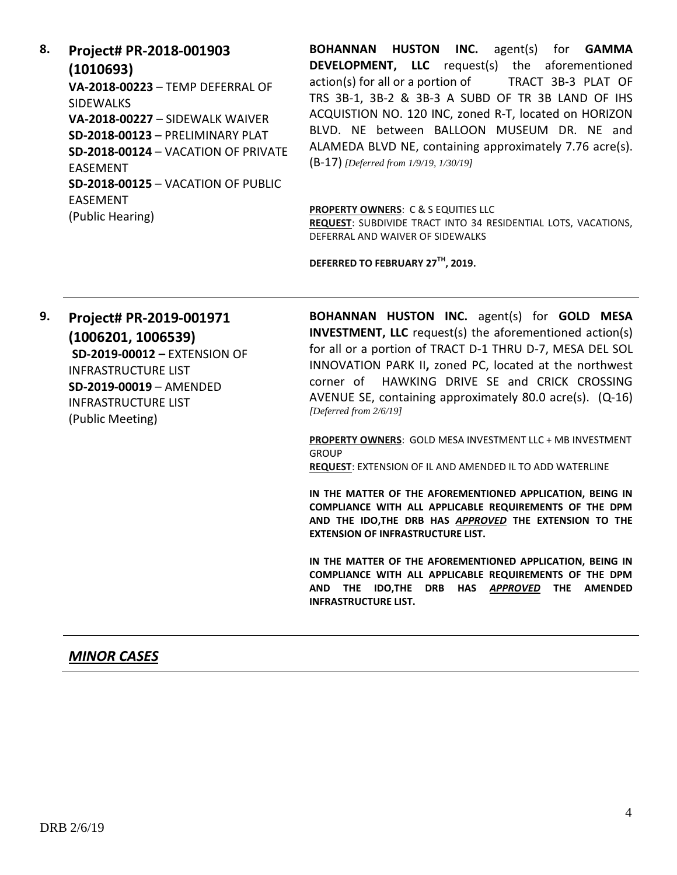**8. Project# PR-2018-001903 (1010693) VA-2018-00223** – TEMP DEFERRAL OF SIDEWALKS **VA-2018-00227** – SIDEWALK WAIVER **SD-2018-00123** – PRELIMINARY PLAT **SD-2018-00124** – VACATION OF PRIVATE EASEMENT **SD-2018-00125** – VACATION OF PUBLIC EASEMENT (Public Hearing)

**BOHANNAN HUSTON INC.** agent(s) for **GAMMA DEVELOPMENT, LLC** request(s) the aforementioned action(s) for all or a portion of TRACT 3B-3 PLAT OF TRS 3B-1, 3B-2 & 3B-3 A SUBD OF TR 3B LAND OF IHS ACQUISTION NO. 120 INC, zoned R-T, located on HORIZON BLVD. NE between BALLOON MUSEUM DR. NE and ALAMEDA BLVD NE, containing approximately 7.76 acre(s). (B-17) *[Deferred from 1/9/19, 1/30/19]*

#### **PROPERTY OWNERS**: C & S EQUITIES LLC

**REQUEST**: SUBDIVIDE TRACT INTO 34 RESIDENTIAL LOTS, VACATIONS, DEFERRAL AND WAIVER OF SIDEWALKS

**DEFERRED TO FEBRUARY 27TH, 2019.**

**9. Project# PR-2019-001971 (1006201, 1006539) SD-2019-00012 –** EXTENSION OF INFRASTRUCTURE LIST **SD-2019-00019** – AMENDED INFRASTRUCTURE LIST (Public Meeting)

**BOHANNAN HUSTON INC.** agent(s) for **GOLD MESA INVESTMENT, LLC** request(s) the aforementioned action(s) for all or a portion of TRACT D-1 THRU D-7, MESA DEL SOL INNOVATION PARK II**,** zoned PC, located at the northwest corner of HAWKING DRIVE SE and CRICK CROSSING AVENUE SE, containing approximately 80.0 acre(s). (Q-16) *[Deferred from 2/6/19]*

**PROPERTY OWNERS**: GOLD MESA INVESTMENT LLC + MB INVESTMENT **GROUP** 

**REQUEST**: EXTENSION OF IL AND AMENDED IL TO ADD WATERLINE

**IN THE MATTER OF THE AFOREMENTIONED APPLICATION, BEING IN COMPLIANCE WITH ALL APPLICABLE REQUIREMENTS OF THE DPM AND THE IDO,THE DRB HAS** *APPROVED* **THE EXTENSION TO THE EXTENSION OF INFRASTRUCTURE LIST.**

**IN THE MATTER OF THE AFOREMENTIONED APPLICATION, BEING IN COMPLIANCE WITH ALL APPLICABLE REQUIREMENTS OF THE DPM AND THE IDO,THE DRB HAS** *APPROVED* **THE AMENDED INFRASTRUCTURE LIST.**

### *MINOR CASES*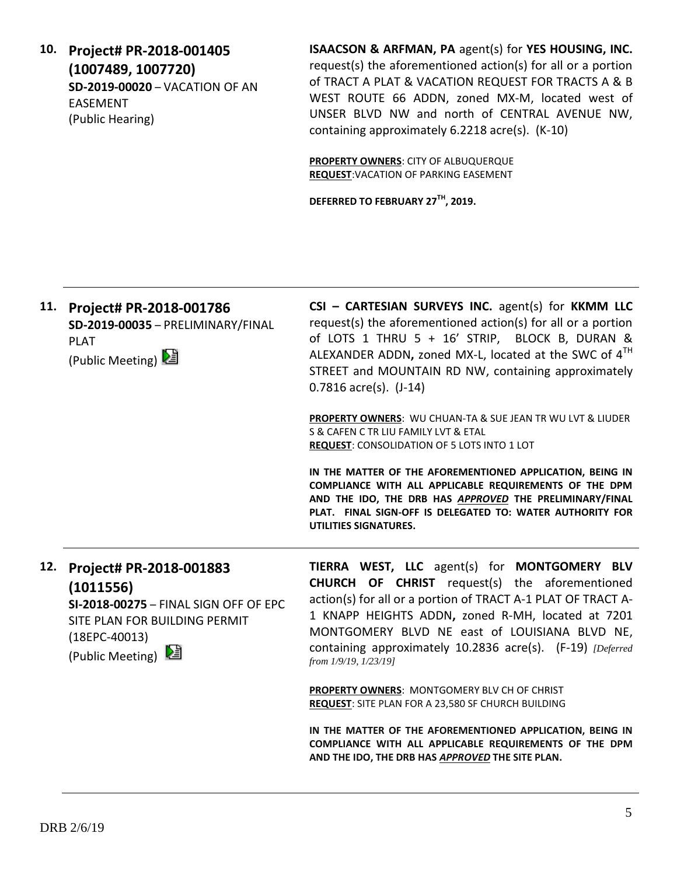**10. Project# PR-2018-001405 (1007489, 1007720) SD-2019-00020** – VACATION OF AN EASEMENT (Public Hearing)

**ISAACSON & ARFMAN, PA** agent(s) for **YES HOUSING, INC.** request(s) the aforementioned action(s) for all or a portion of TRACT A PLAT & VACATION REQUEST FOR TRACTS A & B WEST ROUTE 66 ADDN, zoned MX-M, located west of UNSER BLVD NW and north of CENTRAL AVENUE NW, containing approximately 6.2218 acre(s). (K-10)

**PROPERTY OWNERS**: CITY OF ALBUQUERQUE **REQUEST**:VACATION OF PARKING EASEMENT

**DEFERRED TO FEBRUARY 27TH, 2019.**

| 11. | Project# PR-2018-001786<br>SD-2019-00035 - PRELIMINARY/FINAL<br><b>PLAT</b><br>(Public Meeting) 2                                                       | CSI - CARTESIAN SURVEYS INC. agent(s) for KKMM LLC<br>request(s) the aforementioned action(s) for all or a portion<br>of LOTS 1 THRU 5 + 16' STRIP, BLOCK B, DURAN &<br>ALEXANDER ADDN, zoned MX-L, located at the SWC of 4 <sup>TH</sup><br>STREET and MOUNTAIN RD NW, containing approximately<br>$0.7816$ acre(s). $(J-14)$                                      |
|-----|---------------------------------------------------------------------------------------------------------------------------------------------------------|---------------------------------------------------------------------------------------------------------------------------------------------------------------------------------------------------------------------------------------------------------------------------------------------------------------------------------------------------------------------|
|     |                                                                                                                                                         | <b>PROPERTY OWNERS: WU CHUAN-TA &amp; SUE JEAN TR WU LVT &amp; LIUDER</b><br>S & CAFEN C TR LIU FAMILY LVT & ETAL<br><b>REQUEST: CONSOLIDATION OF 5 LOTS INTO 1 LOT</b>                                                                                                                                                                                             |
|     |                                                                                                                                                         | IN THE MATTER OF THE AFOREMENTIONED APPLICATION, BEING IN<br>COMPLIANCE WITH ALL APPLICABLE REQUIREMENTS OF THE DPM<br>AND THE IDO, THE DRB HAS APPROVED THE PRELIMINARY/FINAL<br>PLAT. FINAL SIGN-OFF IS DELEGATED TO: WATER AUTHORITY FOR<br>UTILITIES SIGNATURES.                                                                                                |
| 12. | Project# PR-2018-001883<br>(1011556)<br>SI-2018-00275 - FINAL SIGN OFF OF EPC<br>SITE PLAN FOR BUILDING PERMIT<br>$(18EPC-40013)$<br>(Public Meeting) 2 | TIERRA WEST, LLC agent(s) for MONTGOMERY BLV<br><b>CHURCH OF CHRIST</b> request(s) the aforementioned<br>action(s) for all or a portion of TRACT A-1 PLAT OF TRACT A-<br>1 KNAPP HEIGHTS ADDN, zoned R-MH, located at 7201<br>MONTGOMERY BLVD NE east of LOUISIANA BLVD NE,<br>containing approximately 10.2836 acre(s). (F-19) [Deferred]<br>from 1/9/19, 1/23/19] |
|     |                                                                                                                                                         | <b>PROPERTY OWNERS: MONTGOMERY BLV CH OF CHRIST</b><br>REQUEST: SITE PLAN FOR A 23,580 SF CHURCH BUILDING                                                                                                                                                                                                                                                           |
|     |                                                                                                                                                         | IN THE MATTER OF THE AFOREMENTIONED APPLICATION, BEING IN<br>COMPLIANCE WITH ALL APPLICABLE REQUIREMENTS OF THE DPM<br>AND THE IDO, THE DRB HAS APPROVED THE SITE PLAN.                                                                                                                                                                                             |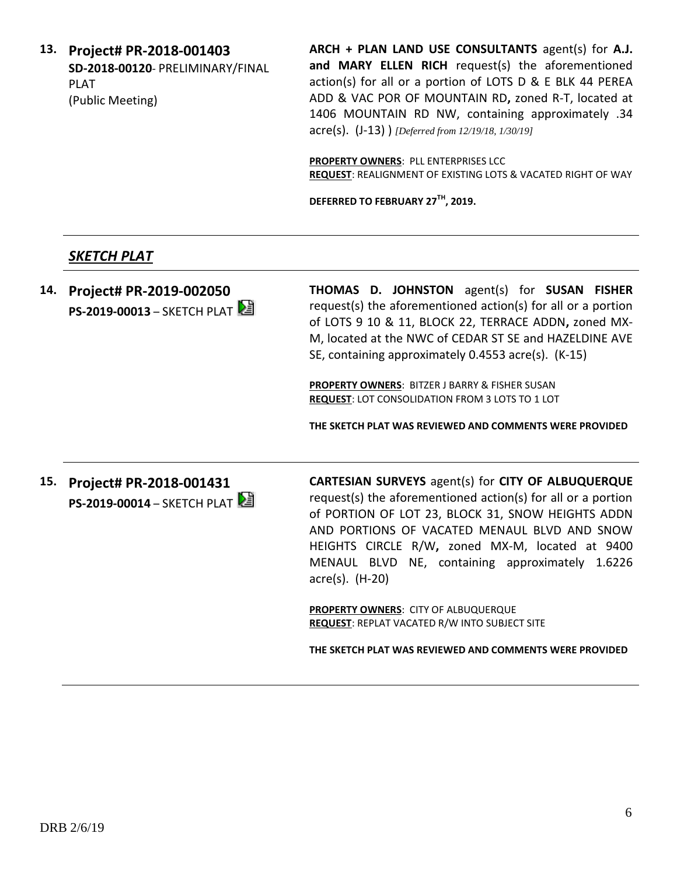**13. Project# PR-2018-001403 SD-2018-00120**- PRELIMINARY/FINAL PLAT (Public Meeting)

**ARCH + PLAN LAND USE CONSULTANTS** agent(s) for **A.J. and MARY ELLEN RICH** request(s) the aforementioned action(s) for all or a portion of LOTS D & E BLK 44 PEREA ADD & VAC POR OF MOUNTAIN RD**,** zoned R-T, located at 1406 MOUNTAIN RD NW, containing approximately .34 acre(s). (J-13) ) *[Deferred from 12/19/18, 1/30/19]*

**PROPERTY OWNERS**: PLL ENTERPRISES LCC **REQUEST**: REALIGNMENT OF EXISTING LOTS & VACATED RIGHT OF WAY

**DEFERRED TO FEBRUARY 27TH, 2019.**

## *SKETCH PLAT*

**14. Project# PR-2019-002050 PS-2019-00013** – SKETCH PLAT **THOMAS D. JOHNSTON** agent(s) for **SUSAN FISHER** request(s) the aforementioned action(s) for all or a portion of LOTS 9 10 & 11, BLOCK 22, TERRACE ADDN**,** zoned MX-M, located at the NWC of CEDAR ST SE and HAZELDINE AVE SE, containing approximately 0.4553 acre(s). (K-15) **PROPERTY OWNERS**: BITZER J BARRY & FISHER SUSAN **REQUEST**: LOT CONSOLIDATION FROM 3 LOTS TO 1 LOT **THE SKETCH PLAT WAS REVIEWED AND COMMENTS WERE PROVIDED 15. Project# PR-2018-001431 PS-2019-00014 – SKETCH PLAT CARTESIAN SURVEYS** agent(s) for **CITY OF ALBUQUERQUE** request(s) the aforementioned action(s) for all or a portion of PORTION OF LOT 23, BLOCK 31, SNOW HEIGHTS ADDN AND PORTIONS OF VACATED MENAUL BLVD AND SNOW HEIGHTS CIRCLE R/W**,** zoned MX-M, located at 9400 MENAUL BLVD NE, containing approximately 1.6226 acre(s). (H-20)

> **PROPERTY OWNERS**: CITY OF ALBUQUERQUE **REQUEST**: REPLAT VACATED R/W INTO SUBJECT SITE

**THE SKETCH PLAT WAS REVIEWED AND COMMENTS WERE PROVIDED**